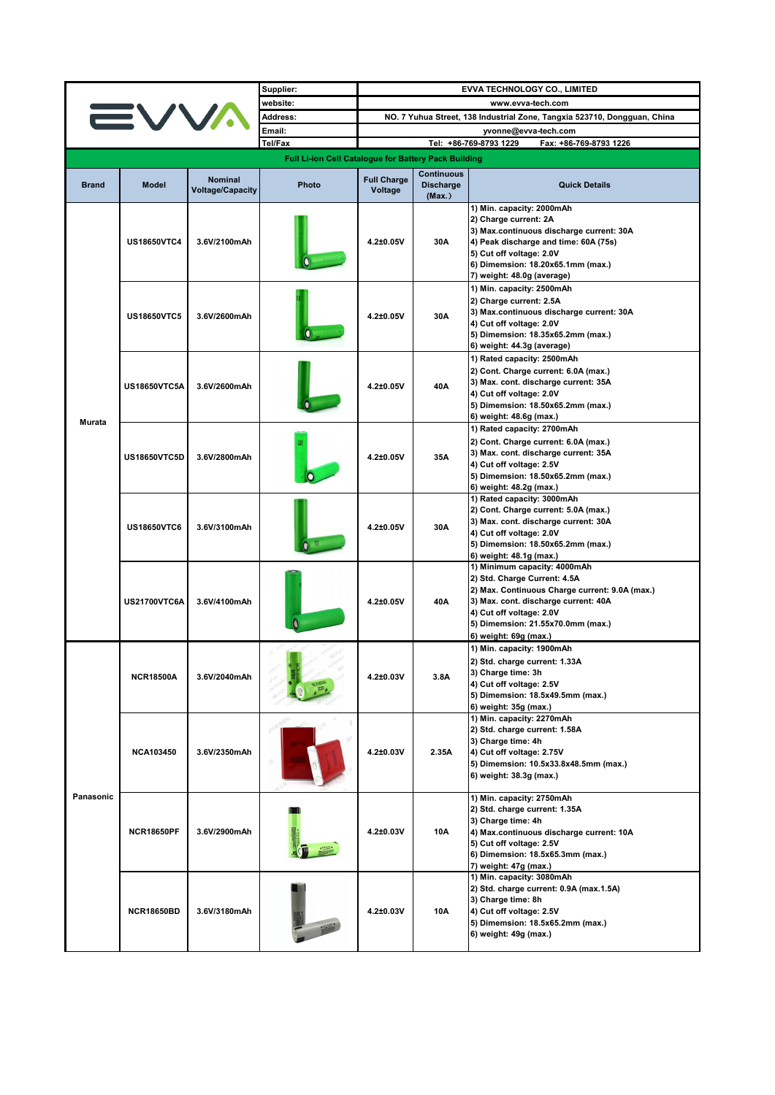|              |                     |                                           | Supplier:                                            | <b>EVVA TECHNOLOGY CO., LIMITED</b>                                      |                                                 |                                                                                                                                                                                                                                                  |  |
|--------------|---------------------|-------------------------------------------|------------------------------------------------------|--------------------------------------------------------------------------|-------------------------------------------------|--------------------------------------------------------------------------------------------------------------------------------------------------------------------------------------------------------------------------------------------------|--|
|              |                     |                                           | website:                                             | www.evva-tech.com                                                        |                                                 |                                                                                                                                                                                                                                                  |  |
|              |                     |                                           | <b>Address:</b>                                      | NO. 7 Yuhua Street, 138 Industrial Zone, Tangxia 523710, Dongguan, China |                                                 |                                                                                                                                                                                                                                                  |  |
|              |                     |                                           | Email:                                               |                                                                          |                                                 |                                                                                                                                                                                                                                                  |  |
|              |                     |                                           | Tel/Fax                                              |                                                                          |                                                 | yvonne@evva-tech.com<br>Tel: +86-769-8793 1229<br>Fax: +86-769-8793 1226                                                                                                                                                                         |  |
|              |                     |                                           |                                                      |                                                                          |                                                 |                                                                                                                                                                                                                                                  |  |
|              |                     |                                           | Full Li-ion Cell Catalogue for Battery Pack Building |                                                                          |                                                 |                                                                                                                                                                                                                                                  |  |
| <b>Brand</b> | <b>Model</b>        | <b>Nominal</b><br><b>Voltage/Capacity</b> | Photo                                                | <b>Full Charge</b><br>Voltage                                            | <b>Continuous</b><br><b>Discharge</b><br>(Max.) | <b>Quick Details</b>                                                                                                                                                                                                                             |  |
| Murata       | <b>US18650VTC4</b>  | 3.6V/2100mAh                              |                                                      | 4.2±0.05V                                                                | 30A                                             | 1) Min. capacity: 2000mAh<br>2) Charge current: 2A<br>3) Max.continuous discharge current: 30A<br>4) Peak discharge and time: 60A (75s)<br>5) Cut off voltage: 2.0V<br>6) Dimemsion: 18.20x65.1mm (max.)<br>7) weight: 48.0g (average)           |  |
|              | <b>US18650VTC5</b>  | 3.6V/2600mAh                              |                                                      | 4.2±0.05V                                                                | 30A                                             | 1) Min. capacity: 2500mAh<br>2) Charge current: 2.5A<br>3) Max.continuous discharge current: 30A<br>4) Cut off voltage: 2.0V<br>5) Dimemsion: 18.35x65.2mm (max.)<br>6) weight: 44.3g (average)                                                  |  |
|              | <b>US18650VTC5A</b> | 3.6V/2600mAh                              |                                                      | 4.2±0.05V                                                                | 40A                                             | 1) Rated capacity: 2500mAh<br>2) Cont. Charge current: 6.0A (max.)<br>3) Max. cont. discharge current: 35A<br>4) Cut off voltage: 2.0V<br>5) Dimemsion: 18.50x65.2mm (max.)<br>6) weight: 48.6g (max.)                                           |  |
|              | <b>US18650VTC5D</b> | 3.6V/2800mAh                              |                                                      | 4.2±0.05V                                                                | 35A                                             | 1) Rated capacity: 2700mAh<br>2) Cont. Charge current: 6.0A (max.)<br>3) Max. cont. discharge current: 35A<br>4) Cut off voltage: 2.5V<br>5) Dimemsion: 18.50x65.2mm (max.)<br>6) weight: 48.2g (max.)                                           |  |
|              | <b>US18650VTC6</b>  | 3.6V/3100mAh                              |                                                      | 4.2±0.05V                                                                | 30A                                             | 1) Rated capacity: 3000mAh<br>2) Cont. Charge current: 5.0A (max.)<br>3) Max. cont. discharge current: 30A<br>4) Cut off voltage: 2.0V<br>5) Dimemsion: 18.50x65.2mm (max.)<br>6) weight: 48.1g (max.)                                           |  |
|              | <b>US21700VTC6A</b> | 3.6V/4100mAh                              |                                                      | 4.2±0.05V                                                                | 40A                                             | 1) Minimum capacity: 4000mAh<br>2) Std. Charge Current: 4.5A<br>2) Max. Continuous Charge current: 9.0A (max.)<br>3) Max. cont. discharge current: 40A<br>4) Cut off voltage: 2.0V<br>5) Dimemsion: 21.55x70.0mm (max.)<br>6) weight: 69g (max.) |  |
| Panasonic    | <b>NCR18500A</b>    | 3.6V/2040mAh                              |                                                      | 4.2±0.03V                                                                | 3.8A                                            | 1) Min. capacity: 1900mAh<br>2) Std. charge current: 1.33A<br>3) Charge time: 3h<br>4) Cut off voltage: 2.5V<br>5) Dimemsion: 18.5x49.5mm (max.)<br>6) weight: 35g (max.)                                                                        |  |
|              | <b>NCA103450</b>    | 3.6V/2350mAh                              |                                                      | $4.2 \pm 0.03V$                                                          | 2.35A                                           | 1) Min. capacity: 2270mAh<br>2) Std. charge current: 1.58A<br>3) Charge time: 4h<br>4) Cut off voltage: 2.75V<br>5) Dimemsion: 10.5x33.8x48.5mm (max.)<br>6) weight: 38.3g (max.)                                                                |  |
|              | <b>NCR18650PF</b>   | 3.6V/2900mAh                              |                                                      | $4.2 \pm 0.03V$                                                          | 10A                                             | 1) Min. capacity: 2750mAh<br>2) Std. charge current: 1.35A<br>3) Charge time: 4h<br>4) Max.continuous discharge current: 10A<br>5) Cut off voltage: 2.5V<br>6) Dimemsion: 18.5x65.3mm (max.)<br>7) weight: 47g (max.)                            |  |
|              | <b>NCR18650BD</b>   | 3.6V/3180mAh                              |                                                      | 4.2±0.03V                                                                | 10A                                             | 1) Min. capacity: 3080mAh<br>2) Std. charge current: 0.9A (max.1.5A)<br>3) Charge time: 8h<br>4) Cut off voltage: 2.5V<br>5) Dimemsion: 18.5x65.2mm (max.)<br>6) weight: 49g (max.)                                                              |  |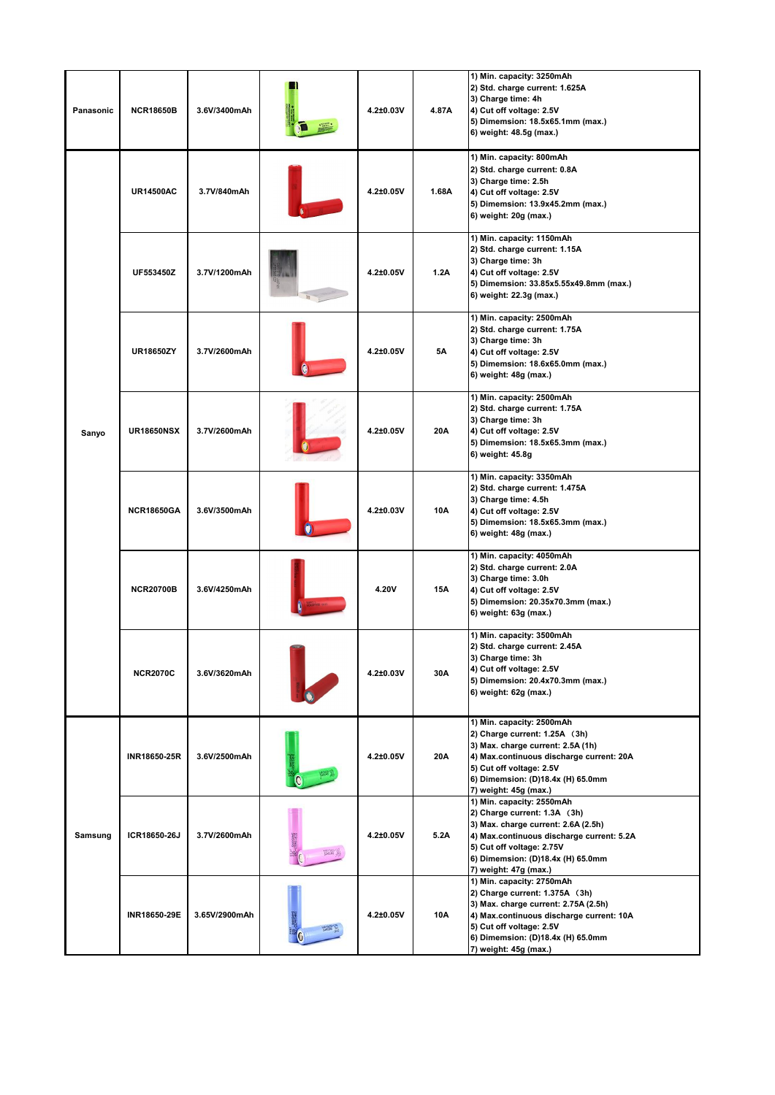| Panasonic | <b>NCR18650B</b>  | 3.6V/3400mAh  | 4.2±0.03V       | 4.87A     | 1) Min. capacity: 3250mAh<br>2) Std. charge current: 1.625A<br>3) Charge time: 4h<br>4) Cut off voltage: 2.5V<br>5) Dimemsion: 18.5x65.1mm (max.)<br>6) weight: 48.5g (max.)                                                              |  |
|-----------|-------------------|---------------|-----------------|-----------|-------------------------------------------------------------------------------------------------------------------------------------------------------------------------------------------------------------------------------------------|--|
|           | <b>UR14500AC</b>  | 3.7V/840mAh   | 4.2±0.05V       | 1.68A     | 1) Min. capacity: 800mAh<br>2) Std. charge current: 0.8A<br>3) Charge time: 2.5h<br>4) Cut off voltage: 2.5V<br>5) Dimemsion: 13.9x45.2mm (max.)<br>6) weight: 20g (max.)                                                                 |  |
|           | UF553450Z         | 3.7V/1200mAh  | 4.2±0.05V       | 1.2A      | 1) Min. capacity: 1150mAh<br>2) Std. charge current: 1.15A<br>3) Charge time: 3h<br>4) Cut off voltage: 2.5V<br>5) Dimemsion: 33.85x5.55x49.8mm (max.)<br>6) weight: 22.3g (max.)                                                         |  |
|           | <b>UR18650ZY</b>  | 3.7V/2600mAh  | 4.2±0.05V       | <b>5A</b> | 1) Min. capacity: 2500mAh<br>2) Std. charge current: 1.75A<br>3) Charge time: 3h<br>4) Cut off voltage: 2.5V<br>5) Dimemsion: 18.6x65.0mm (max.)<br>6) weight: 48g (max.)                                                                 |  |
| Sanyo     | <b>UR18650NSX</b> | 3.7V/2600mAh  | 4.2±0.05V       | 20A       | 1) Min. capacity: 2500mAh<br>2) Std. charge current: 1.75A<br>3) Charge time: 3h<br>4) Cut off voltage: 2.5V<br>5) Dimemsion: 18.5x65.3mm (max.)<br>6) weight: 45.8g                                                                      |  |
|           | <b>NCR18650GA</b> | 3.6V/3500mAh  | 4.2±0.03V       | 10A       | 1) Min. capacity: 3350mAh<br>2) Std. charge current: 1.475A<br>3) Charge time: 4.5h<br>4) Cut off voltage: 2.5V<br>5) Dimemsion: 18.5x65.3mm (max.)<br>6) weight: 48g (max.)                                                              |  |
|           | <b>NCR20700B</b>  | 3.6V/4250mAh  | 4.20V           | 15A       | 1) Min. capacity: 4050mAh<br>2) Std. charge current: 2.0A<br>3) Charge time: 3.0h<br>4) Cut off voltage: 2.5V<br>5) Dimemsion: 20.35x70.3mm (max.)<br>6) weight: 63g (max.)                                                               |  |
|           | <b>NCR2070C</b>   | 3.6V/3620mAh  | 4.2±0.03V       | 30A       | 1) Min. capacity: 3500mAh<br>2) Std. charge current: 2.45A<br>3) Charge time: 3h<br>4) Cut off voltage: 2.5V<br>5) Dimemsion: 20.4x70.3mm (max.)<br>6) weight: 62g (max.)                                                                 |  |
|           | INR18650-25R      | 3.6V/2500mAh  | 4.2±0.05V       | 20A       | 1) Min. capacity: 2500mAh<br>2) Charge current: 1.25A (3h)<br>3) Max. charge current: 2.5A (1h)<br>4) Max.continuous discharge current: 20A<br>5) Cut off voltage: 2.5V<br>6) Dimemsion: (D)18.4x (H) 65.0mm<br>7) weight: 45g (max.)     |  |
| Samsung   | ICR18650-26J      | 3.7V/2600mAh  | $4.2 \pm 0.05V$ | 5.2A      | 1) Min. capacity: 2550mAh<br>2) Charge current: 1.3A (3h)<br>3) Max. charge current: 2.6A (2.5h)<br>4) Max.continuous discharge current: 5.2A<br>5) Cut off voltage: 2.75V<br>6) Dimemsion: (D)18.4x (H) 65.0mm<br>7) weight: 47g (max.)  |  |
|           | INR18650-29E      | 3.65V/2900mAh | 4.2±0.05V       | 10A       | 1) Min. capacity: 2750mAh<br>2) Charge current: 1.375A (3h)<br>3) Max. charge current: 2.75A (2.5h)<br>4) Max.continuous discharge current: 10A<br>5) Cut off voltage: 2.5V<br>6) Dimemsion: (D)18.4x (H) 65.0mm<br>7) weight: 45g (max.) |  |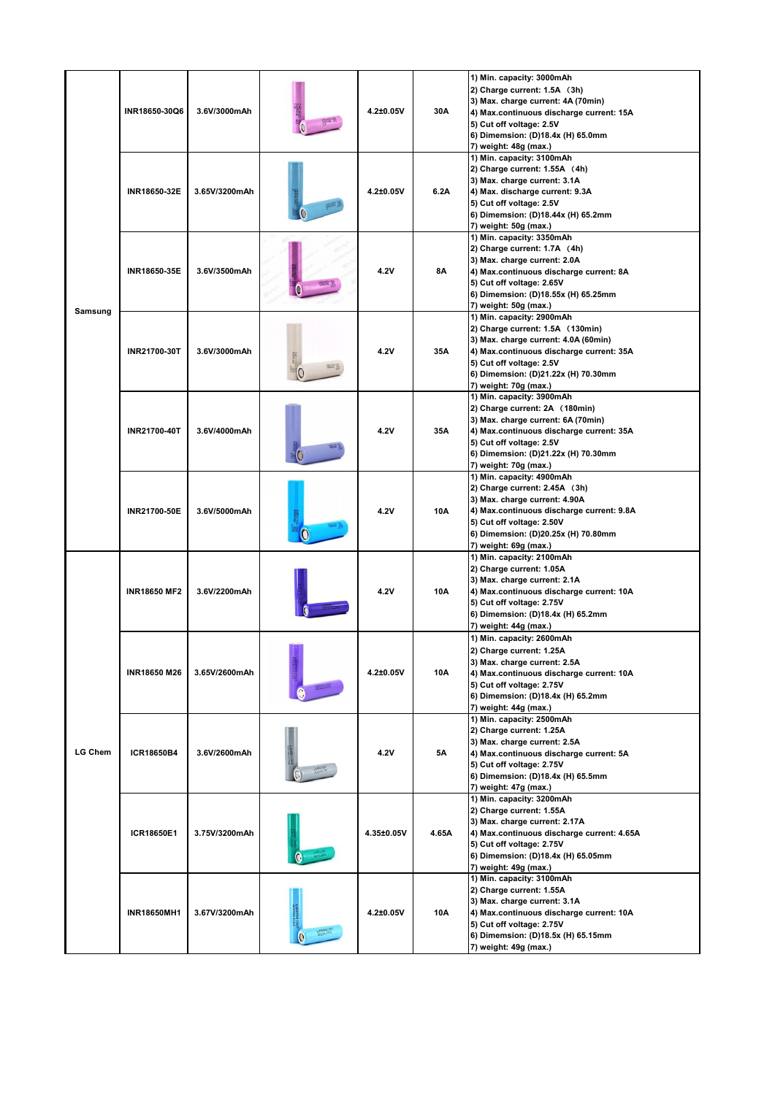|                | INR18650-30Q6       | 3.6V/3000mAh  | 4.2±0.05V  | 30A       | 1) Min. capacity: 3000mAh<br>2) Charge current: 1.5A (3h)<br>3) Max. charge current: 4A (70min)<br>4) Max.continuous discharge current: 15A<br>5) Cut off voltage: 2.5V<br>6) Dimemsion: (D)18.4x (H) 65.0mm<br>7) weight: 48g (max.)         |  |
|----------------|---------------------|---------------|------------|-----------|-----------------------------------------------------------------------------------------------------------------------------------------------------------------------------------------------------------------------------------------------|--|
|                | INR18650-32E        | 3.65V/3200mAh | 4.2±0.05V  | 6.2A      | 1) Min. capacity: 3100mAh<br>2) Charge current: 1.55A (4h)<br>3) Max. charge current: 3.1A<br>4) Max. discharge current: 9.3A<br>5) Cut off voltage: 2.5V<br>6) Dimemsion: (D)18.44x (H) 65.2mm<br>7) weight: 50g (max.)                      |  |
|                | INR18650-35E        | 3.6V/3500mAh  | 4.2V       | <b>8A</b> | 1) Min. capacity: 3350mAh<br>2) Charge current: 1.7A (4h)<br>3) Max. charge current: 2.0A<br>4) Max.continuous discharge current: 8A<br>5) Cut off voltage: 2.65V<br>6) Dimemsion: (D)18.55x (H) 65.25mm<br>7) weight: 50g (max.)             |  |
| Samsung        | INR21700-30T        | 3.6V/3000mAh  | 4.2V       | 35A       | 1) Min. capacity: 2900mAh<br>2) Charge current: 1.5A (130min)<br>3) Max. charge current: 4.0A (60min)<br>4) Max.continuous discharge current: 35A<br>5) Cut off voltage: 2.5V<br>6) Dimemsion: (D)21.22x (H) 70.30mm<br>7) weight: 70g (max.) |  |
|                | INR21700-40T        | 3.6V/4000mAh  | 4.2V       | 35A       | 1) Min. capacity: 3900mAh<br>2) Charge current: 2A (180min)<br>3) Max. charge current: 6A (70min)<br>4) Max.continuous discharge current: 35A<br>5) Cut off voltage: 2.5V<br>6) Dimemsion: (D)21.22x (H) 70.30mm<br>7) weight: 70g (max.)     |  |
|                | INR21700-50E        | 3.6V/5000mAh  | 4.2V       | 10A       | 1) Min. capacity: 4900mAh<br>2) Charge current: 2.45A (3h)<br>3) Max. charge current: 4.90A<br>4) Max.continuous discharge current: 9.8A<br>5) Cut off voltage: 2.50V<br>6) Dimemsion: (D)20.25x (H) 70.80mm<br>7) weight: 69g (max.)         |  |
|                | <b>INR18650 MF2</b> | 3.6V/2200mAh  | 4.2V       | 10A       | 1) Min. capacity: 2100mAh<br>2) Charge current: 1.05A<br>3) Max. charge current: 2.1A<br>4) Max.continuous discharge current: 10A<br>5) Cut off voltage: 2.75V<br>6) Dimemsion: (D)18.4x (H) 65.2mm<br>7) weight: 44g (max.)                  |  |
|                | <b>INR18650 M26</b> | 3.65V/2600mAh | 4.2±0.05V  | 10A       | 1) Min. capacity: 2600mAh<br>2) Charge current: 1.25A<br>3) Max. charge current: 2.5A<br>4) Max.continuous discharge current: 10A<br>5) Cut off voltage: 2.75V<br>6) Dimemsion: (D)18.4x (H) 65.2mm<br>7) weight: 44g (max.)                  |  |
| <b>LG Chem</b> | ICR18650B4          | 3.6V/2600mAh  | 4.2V       | <b>5A</b> | 1) Min. capacity: 2500mAh<br>2) Charge current: 1.25A<br>3) Max. charge current: 2.5A<br>4) Max.continuous discharge current: 5A<br>5) Cut off voltage: 2.75V<br>6) Dimemsion: (D)18.4x (H) 65.5mm<br>7) weight: 47g (max.)                   |  |
|                | ICR18650E1          | 3.75V/3200mAh | 4.35±0.05V | 4.65A     | 1) Min. capacity: 3200mAh<br>2) Charge current: 1.55A<br>3) Max. charge current: 2.17A<br>4) Max.continuous discharge current: 4.65A<br>5) Cut off voltage: 2.75V<br>6) Dimemsion: (D)18.4x (H) 65.05mm<br>7) weight: 49g (max.)              |  |
|                | <b>INR18650MH1</b>  | 3.67V/3200mAh | 4.2±0.05V  | 10A       | 1) Min. capacity: 3100mAh<br>2) Charge current: 1.55A<br>3) Max. charge current: 3.1A<br>4) Max.continuous discharge current: 10A<br>5) Cut off voltage: 2.75V<br>6) Dimemsion: (D)18.5x (H) 65.15mm<br>7) weight: 49g (max.)                 |  |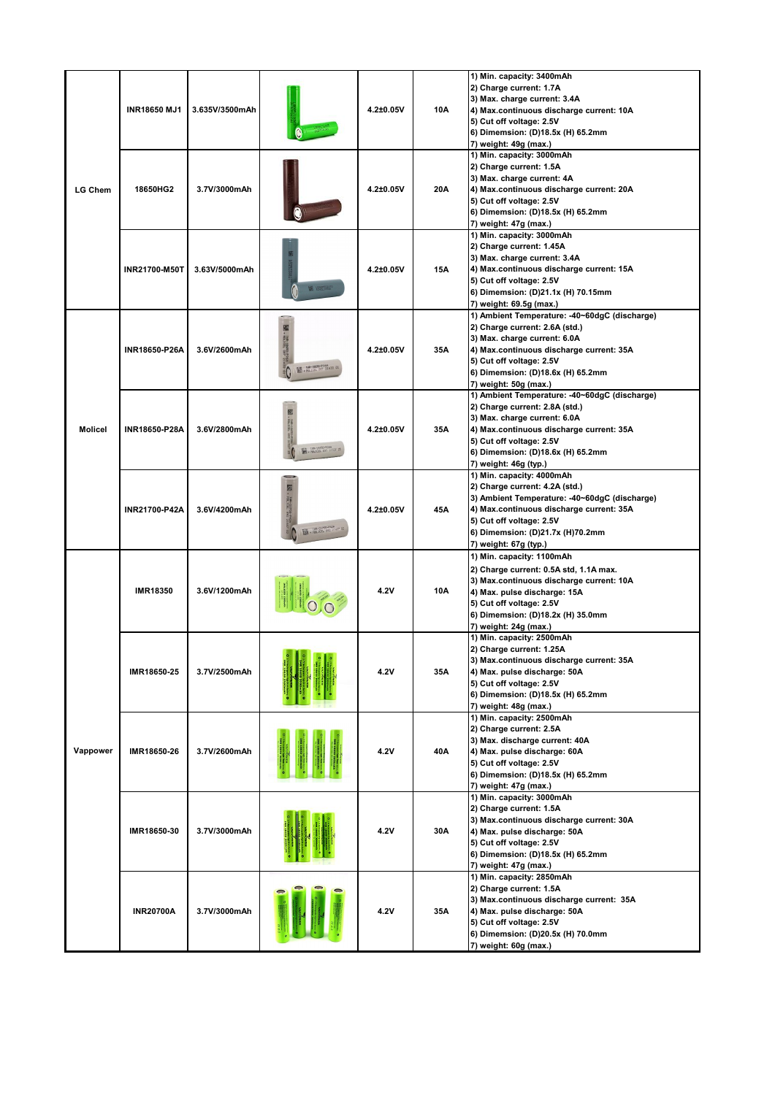|                | <b>INR18650 MJ1</b> | 3.635V/3500mAh |                                                     | 4.2±0.05V | 10A | 1) Min. capacity: 3400mAh<br>2) Charge current: 1.7A<br>3) Max. charge current: 3.4A<br>4) Max.continuous discharge current: 10A<br>5) Cut off voltage: 2.5V<br>6) Dimemsion: (D)18.5x (H) 65.2mm<br>7) weight: 49g (max.)                            |
|----------------|---------------------|----------------|-----------------------------------------------------|-----------|-----|-------------------------------------------------------------------------------------------------------------------------------------------------------------------------------------------------------------------------------------------------------|
| <b>LG Chem</b> | 18650HG2            | 3.7V/3000mAh   |                                                     | 4.2±0.05V | 20A | 1) Min. capacity: 3000mAh<br>2) Charge current: 1.5A<br>3) Max. charge current: 4A<br>4) Max.continuous discharge current: 20A<br>5) Cut off voltage: 2.5V<br>6) Dimemsion: (D)18.5x (H) 65.2mm<br>7) weight: 47g (max.)                              |
|                | INR21700-M50T       | 3.63V/5000mAh  |                                                     | 4.2±0.05V | 15A | 1) Min. capacity: 3000mAh<br>2) Charge current: 1.45A<br>3) Max. charge current: 3.4A<br>4) Max.continuous discharge current: 15A<br>5) Cut off voltage: 2.5V<br>6) Dimemsion: (D)21.1x (H) 70.15mm<br>7) weight: 69.5g (max.)                        |
|                | INR18650-P26A       | 3.6V/2600mAh   | 國語<br><b>MA-1850-P26A</b><br>+ RULLOID 087 21830 01 | 4.2±0.05V | 35A | 1) Ambient Temperature: -40~60dgC (discharge)<br>2) Charge current: 2.6A (std.)<br>3) Max. charge current: 6.0A<br>4) Max.continuous discharge current: 35A<br>5) Cut off voltage: 2.5V<br>6) Dimemsion: (D)18.6x (H) 65.2mm<br>7) weight: 50g (max.) |
| <b>Molicel</b> | INR18650-P28A       | 3.6V/2800mAh   | <b>100 + NOL108L 093 273</b>                        | 4.2±0.05V | 35A | 1) Ambient Temperature: -40~60dgC (discharge)<br>2) Charge current: 2.8A (std.)<br>3) Max. charge current: 6.0A<br>4) Max.continuous discharge current: 35A<br>5) Cut off voltage: 2.5V<br>6) Dimemsion: (D)18.6x (H) 65.2mm<br>7) weight: 46g (typ.) |
|                | INR21700-P42A       | 3.6V/4200mAh   | $100-2175$                                          | 4.2±0.05V | 45A | 1) Min. capacity: 4000mAh<br>2) Charge current: 4.2A (std.)<br>3) Ambient Temperature: -40~60dgC (discharge)<br>4) Max.continuous discharge current: 35A<br>5) Cut off voltage: 2.5V<br>6) Dimemsion: (D)21.7x (H)70.2mm<br>7) weight: 67g (typ.)     |
|                | <b>IMR18350</b>     | 3.6V/1200mAh   |                                                     | 4.2V      | 10A | 1) Min. capacity: 1100mAh<br>2) Charge current: 0.5A std, 1.1A max.<br>3) Max.continuous discharge current: 10A<br>4) Max. pulse discharge: 15A<br>5) Cut off voltage: 2.5V<br>6) Dimemsion: (D)18.2x (H) 35.0mm<br>7) weight: 24g (max.)             |
| Vappower       | IMR18650-25         | 3.7V/2500mAh   |                                                     | 4.2V      | 35A | 1) Min. capacity: 2500mAh<br>2) Charge current: 1.25A<br>3) Max.continuous discharge current: 35A<br>4) Max. pulse discharge: 50A<br>5) Cut off voltage: 2.5V<br>6) Dimemsion: (D)18.5x (H) 65.2mm<br>7) weight: 48g (max.)                           |
|                | IMR18650-26         | 3.7V/2600mAh   |                                                     | 4.2V      | 40A | 1) Min. capacity: 2500mAh<br>2) Charge current: 2.5A<br>3) Max. discharge current: 40A<br>4) Max. pulse discharge: 60A<br>5) Cut off voltage: 2.5V<br>6) Dimemsion: (D)18.5x (H) 65.2mm<br>7) weight: 47g (max.)                                      |
|                | IMR18650-30         | 3.7V/3000mAh   |                                                     | 4.2V      | 30A | 1) Min. capacity: 3000mAh<br>2) Charge current: 1.5A<br>3) Max.continuous discharge current: 30A<br>4) Max. pulse discharge: 50A<br>5) Cut off voltage: 2.5V<br>6) Dimemsion: (D)18.5x (H) 65.2mm<br>7) weight: 47g (max.)                            |
|                | <b>INR20700A</b>    | 3.7V/3000mAh   |                                                     | 4.2V      | 35A | 1) Min. capacity: 2850mAh<br>2) Charge current: 1.5A<br>3) Max.continuous discharge current: 35A<br>4) Max. pulse discharge: 50A<br>5) Cut off voltage: 2.5V<br>6) Dimemsion: (D)20.5x (H) 70.0mm<br>7) weight: 60g (max.)                            |